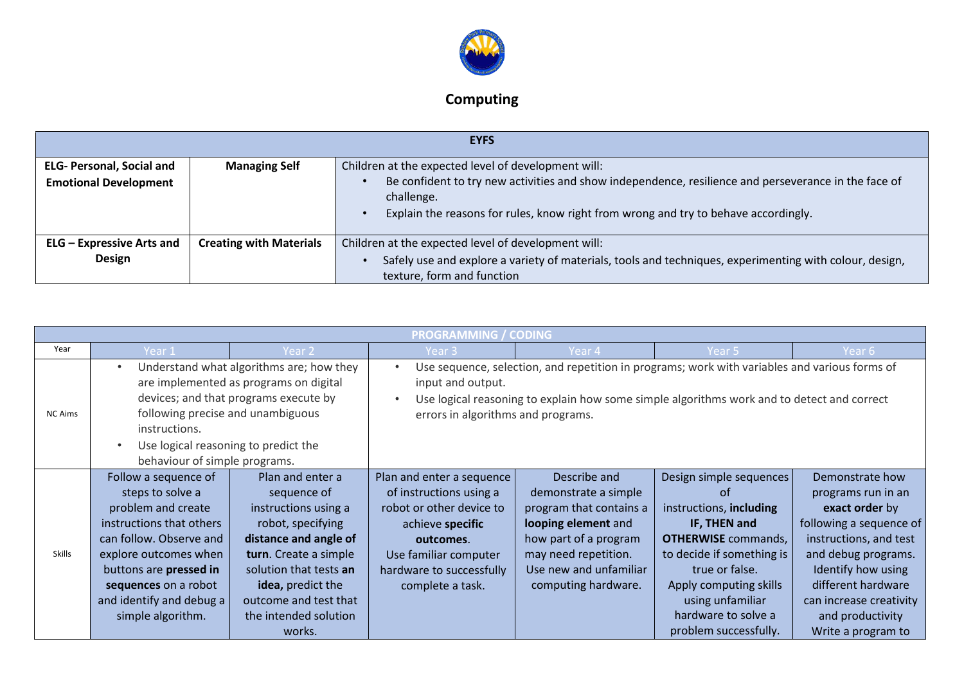

## **Computing**

|                                                                  | <b>EYFS</b>                    |                                                                                                                                                                                                                                                                  |  |  |  |  |  |
|------------------------------------------------------------------|--------------------------------|------------------------------------------------------------------------------------------------------------------------------------------------------------------------------------------------------------------------------------------------------------------|--|--|--|--|--|
| <b>ELG- Personal, Social and</b><br><b>Emotional Development</b> | <b>Managing Self</b>           | Children at the expected level of development will:<br>Be confident to try new activities and show independence, resilience and perseverance in the face of<br>challenge.<br>Explain the reasons for rules, know right from wrong and try to behave accordingly. |  |  |  |  |  |
| <b>ELG</b> - Expressive Arts and<br>Design                       | <b>Creating with Materials</b> | Children at the expected level of development will:<br>Safely use and explore a variety of materials, tools and techniques, experimenting with colour, design,<br>texture, form and function                                                                     |  |  |  |  |  |

|                                                                                                                                                                                                                                                                              |                                                                                                                                                                                                                                                   |                                                                                                                                                                                                                                                        | <b>PROGRAMMING / CODING</b>                                                                                                                                                                |                                                                                                                                                                                          |                                                                                                                                                                                                                                                     |                                                                                                                                                                                                                                                      |
|------------------------------------------------------------------------------------------------------------------------------------------------------------------------------------------------------------------------------------------------------------------------------|---------------------------------------------------------------------------------------------------------------------------------------------------------------------------------------------------------------------------------------------------|--------------------------------------------------------------------------------------------------------------------------------------------------------------------------------------------------------------------------------------------------------|--------------------------------------------------------------------------------------------------------------------------------------------------------------------------------------------|------------------------------------------------------------------------------------------------------------------------------------------------------------------------------------------|-----------------------------------------------------------------------------------------------------------------------------------------------------------------------------------------------------------------------------------------------------|------------------------------------------------------------------------------------------------------------------------------------------------------------------------------------------------------------------------------------------------------|
| Year                                                                                                                                                                                                                                                                         | Year 1                                                                                                                                                                                                                                            | Year 2                                                                                                                                                                                                                                                 | Year 3                                                                                                                                                                                     | Year 4                                                                                                                                                                                   | Year 5                                                                                                                                                                                                                                              | Year 6                                                                                                                                                                                                                                               |
| Understand what algorithms are; how they<br>are implemented as programs on digital<br>devices; and that programs execute by<br>following precise and unambiguous<br><b>NC Aims</b><br>instructions.<br>Use logical reasoning to predict the<br>behaviour of simple programs. |                                                                                                                                                                                                                                                   | Use sequence, selection, and repetition in programs; work with variables and various forms of<br>input and output.<br>Use logical reasoning to explain how some simple algorithms work and to detect and correct<br>errors in algorithms and programs. |                                                                                                                                                                                            |                                                                                                                                                                                          |                                                                                                                                                                                                                                                     |                                                                                                                                                                                                                                                      |
| <b>Skills</b>                                                                                                                                                                                                                                                                | Follow a sequence of<br>steps to solve a<br>problem and create<br>instructions that others<br>can follow. Observe and<br>explore outcomes when<br>buttons are pressed in<br>sequences on a robot<br>and identify and debug a<br>simple algorithm. | Plan and enter a<br>sequence of<br>instructions using a<br>robot, specifying<br>distance and angle of<br>turn. Create a simple<br>solution that tests an<br>idea, predict the<br>outcome and test that<br>the intended solution<br>works.              | Plan and enter a sequence<br>of instructions using a<br>robot or other device to<br>achieve specific<br>outcomes.<br>Use familiar computer<br>hardware to successfully<br>complete a task. | Describe and<br>demonstrate a simple<br>program that contains a<br>looping element and<br>how part of a program<br>may need repetition.<br>Use new and unfamiliar<br>computing hardware. | Design simple sequences<br>of<br>instructions, including<br>IF, THEN and<br><b>OTHERWISE</b> commands,<br>to decide if something is<br>true or false.<br>Apply computing skills<br>using unfamiliar<br>hardware to solve a<br>problem successfully. | Demonstrate how<br>programs run in an<br>exact order by<br>following a sequence of<br>instructions, and test<br>and debug programs.<br>Identify how using<br>different hardware<br>can increase creativity<br>and productivity<br>Write a program to |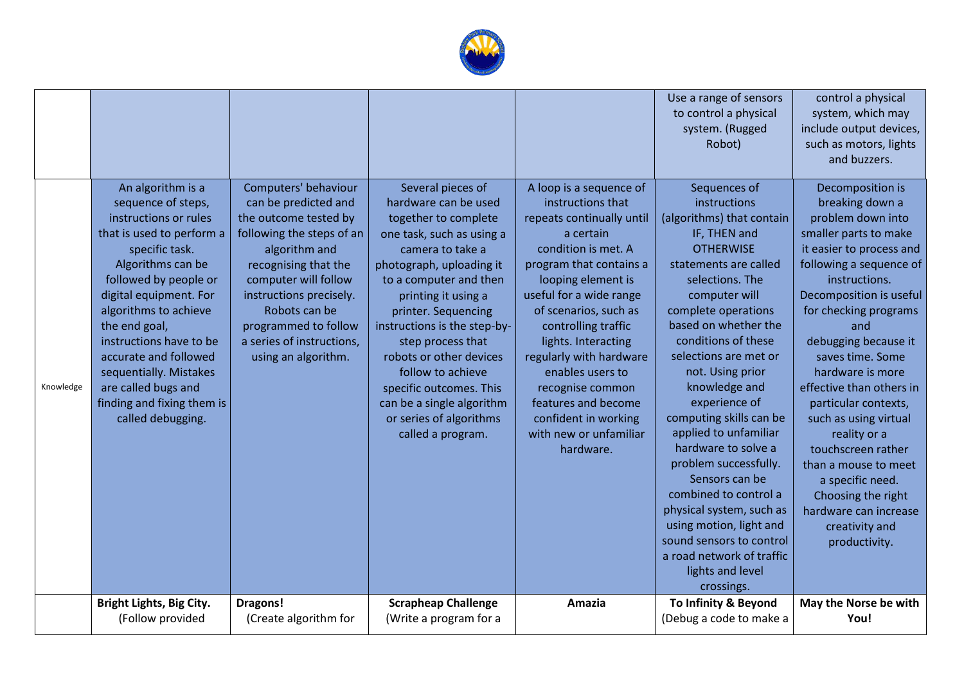

|           |                                                                                                                                                                                                                                                                                                                                                                                           |                                                                                                                                                                                                                                                                                             |                                                                                                                                                                                                                                                                                                                                                                                                                                     |                                                                                                                                                                                                                                                                                                                                                                                                                           | Use a range of sensors<br>to control a physical<br>system. (Rugged<br>Robot)                                                                                                                                                                                                                                                                                                                                                                                                                                                                                                                                     | control a physical<br>system, which may<br>include output devices,<br>such as motors, lights<br>and buzzers.                                                                                                                                                                                                                                                                                                                                                                                                                          |
|-----------|-------------------------------------------------------------------------------------------------------------------------------------------------------------------------------------------------------------------------------------------------------------------------------------------------------------------------------------------------------------------------------------------|---------------------------------------------------------------------------------------------------------------------------------------------------------------------------------------------------------------------------------------------------------------------------------------------|-------------------------------------------------------------------------------------------------------------------------------------------------------------------------------------------------------------------------------------------------------------------------------------------------------------------------------------------------------------------------------------------------------------------------------------|---------------------------------------------------------------------------------------------------------------------------------------------------------------------------------------------------------------------------------------------------------------------------------------------------------------------------------------------------------------------------------------------------------------------------|------------------------------------------------------------------------------------------------------------------------------------------------------------------------------------------------------------------------------------------------------------------------------------------------------------------------------------------------------------------------------------------------------------------------------------------------------------------------------------------------------------------------------------------------------------------------------------------------------------------|---------------------------------------------------------------------------------------------------------------------------------------------------------------------------------------------------------------------------------------------------------------------------------------------------------------------------------------------------------------------------------------------------------------------------------------------------------------------------------------------------------------------------------------|
| Knowledge | An algorithm is a<br>sequence of steps,<br>instructions or rules<br>that is used to perform a<br>specific task.<br>Algorithms can be<br>followed by people or<br>digital equipment. For<br>algorithms to achieve<br>the end goal,<br>instructions have to be<br>accurate and followed<br>sequentially. Mistakes<br>are called bugs and<br>finding and fixing them is<br>called debugging. | Computers' behaviour<br>can be predicted and<br>the outcome tested by<br>following the steps of an<br>algorithm and<br>recognising that the<br>computer will follow<br>instructions precisely.<br>Robots can be<br>programmed to follow<br>a series of instructions,<br>using an algorithm. | Several pieces of<br>hardware can be used<br>together to complete<br>one task, such as using a<br>camera to take a<br>photograph, uploading it<br>to a computer and then<br>printing it using a<br>printer. Sequencing<br>instructions is the step-by-<br>step process that<br>robots or other devices<br>follow to achieve<br>specific outcomes. This<br>can be a single algorithm<br>or series of algorithms<br>called a program. | A loop is a sequence of<br>instructions that<br>repeats continually until<br>a certain<br>condition is met. A<br>program that contains a<br>looping element is<br>useful for a wide range<br>of scenarios, such as<br>controlling traffic<br>lights. Interacting<br>regularly with hardware<br>enables users to<br>recognise common<br>features and become<br>confident in working<br>with new or unfamiliar<br>hardware. | Sequences of<br>instructions<br>(algorithms) that contain<br>IF, THEN and<br><b>OTHERWISE</b><br>statements are called<br>selections. The<br>computer will<br>complete operations<br>based on whether the<br>conditions of these<br>selections are met or<br>not. Using prior<br>knowledge and<br>experience of<br>computing skills can be<br>applied to unfamiliar<br>hardware to solve a<br>problem successfully.<br>Sensors can be<br>combined to control a<br>physical system, such as<br>using motion, light and<br>sound sensors to control<br>a road network of traffic<br>lights and level<br>crossings. | Decomposition is<br>breaking down a<br>problem down into<br>smaller parts to make<br>it easier to process and<br>following a sequence of<br>instructions.<br>Decomposition is useful<br>for checking programs<br>and<br>debugging because it<br>saves time. Some<br>hardware is more<br>effective than others in<br>particular contexts,<br>such as using virtual<br>reality or a<br>touchscreen rather<br>than a mouse to meet<br>a specific need.<br>Choosing the right<br>hardware can increase<br>creativity and<br>productivity. |
|           | Bright Lights, Big City.<br>(Follow provided                                                                                                                                                                                                                                                                                                                                              | Dragons!<br>(Create algorithm for                                                                                                                                                                                                                                                           | <b>Scrapheap Challenge</b><br>(Write a program for a                                                                                                                                                                                                                                                                                                                                                                                | Amazia                                                                                                                                                                                                                                                                                                                                                                                                                    | To Infinity & Beyond<br>(Debug a code to make a                                                                                                                                                                                                                                                                                                                                                                                                                                                                                                                                                                  | May the Norse be with<br>You!                                                                                                                                                                                                                                                                                                                                                                                                                                                                                                         |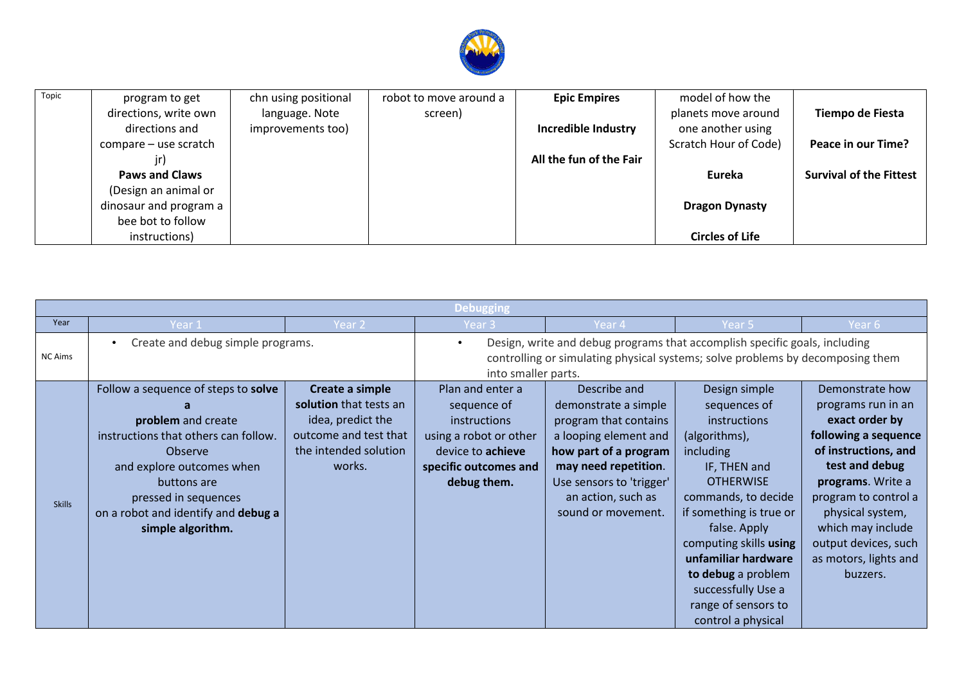

| Topic | program to get<br>directions, write own | chn using positional<br>language. Note | robot to move around a<br>screen) | <b>Epic Empires</b>     | model of how the<br>planets move around | Tiempo de Fiesta               |
|-------|-----------------------------------------|----------------------------------------|-----------------------------------|-------------------------|-----------------------------------------|--------------------------------|
|       | directions and                          | improvements too)                      |                                   | Incredible Industry     | one another using                       |                                |
|       | compare – use scratch                   |                                        |                                   |                         | Scratch Hour of Code)                   | Peace in our Time?             |
|       |                                         |                                        |                                   | All the fun of the Fair |                                         |                                |
|       | <b>Paws and Claws</b>                   |                                        |                                   |                         | Eureka                                  | <b>Survival of the Fittest</b> |
|       | (Design an animal or                    |                                        |                                   |                         |                                         |                                |
|       | dinosaur and program a                  |                                        |                                   |                         | <b>Dragon Dynasty</b>                   |                                |
|       | bee bot to follow                       |                                        |                                   |                         |                                         |                                |
|       | instructions)                           |                                        |                                   |                         | <b>Circles of Life</b>                  |                                |

|                |                                                                                                                                                                                                                                              |                                                                                                                            | <b>Debugging</b>                                                                                                                                             |                                                                                                                                                                                                                 |                                                                                                                                                                                                                                                                                                                                    |                                                                                                                                                                                                                                                                              |
|----------------|----------------------------------------------------------------------------------------------------------------------------------------------------------------------------------------------------------------------------------------------|----------------------------------------------------------------------------------------------------------------------------|--------------------------------------------------------------------------------------------------------------------------------------------------------------|-----------------------------------------------------------------------------------------------------------------------------------------------------------------------------------------------------------------|------------------------------------------------------------------------------------------------------------------------------------------------------------------------------------------------------------------------------------------------------------------------------------------------------------------------------------|------------------------------------------------------------------------------------------------------------------------------------------------------------------------------------------------------------------------------------------------------------------------------|
| Year           | Year 1                                                                                                                                                                                                                                       | Year 2                                                                                                                     | Year 3                                                                                                                                                       | Year 4                                                                                                                                                                                                          | Year 5                                                                                                                                                                                                                                                                                                                             | Year 6                                                                                                                                                                                                                                                                       |
| <b>NC Aims</b> | Create and debug simple programs.<br>$\bullet$                                                                                                                                                                                               | $\bullet$<br>into smaller parts.                                                                                           | Design, write and debug programs that accomplish specific goals, including<br>controlling or simulating physical systems; solve problems by decomposing them |                                                                                                                                                                                                                 |                                                                                                                                                                                                                                                                                                                                    |                                                                                                                                                                                                                                                                              |
| <b>Skills</b>  | Follow a sequence of steps to solve<br>problem and create<br>instructions that others can follow.<br>Observe<br>and explore outcomes when<br>buttons are<br>pressed in sequences<br>on a robot and identify and debug a<br>simple algorithm. | Create a simple<br>solution that tests an<br>idea, predict the<br>outcome and test that<br>the intended solution<br>works. | Plan and enter a<br>sequence of<br><i>instructions</i><br>using a robot or other<br>device to achieve<br>specific outcomes and<br>debug them.                | Describe and<br>demonstrate a simple<br>program that contains<br>a looping element and<br>how part of a program<br>may need repetition.<br>Use sensors to 'trigger'<br>an action, such as<br>sound or movement. | Design simple<br>sequences of<br><i>instructions</i><br>(algorithms),<br>including<br>IF, THEN and<br><b>OTHERWISE</b><br>commands, to decide<br>if something is true or<br>false. Apply<br>computing skills using<br>unfamiliar hardware<br>to debug a problem<br>successfully Use a<br>range of sensors to<br>control a physical | Demonstrate how<br>programs run in an<br>exact order by<br>following a sequence<br>of instructions, and<br>test and debug<br>programs. Write a<br>program to control a<br>physical system,<br>which may include<br>output devices, such<br>as motors, lights and<br>buzzers. |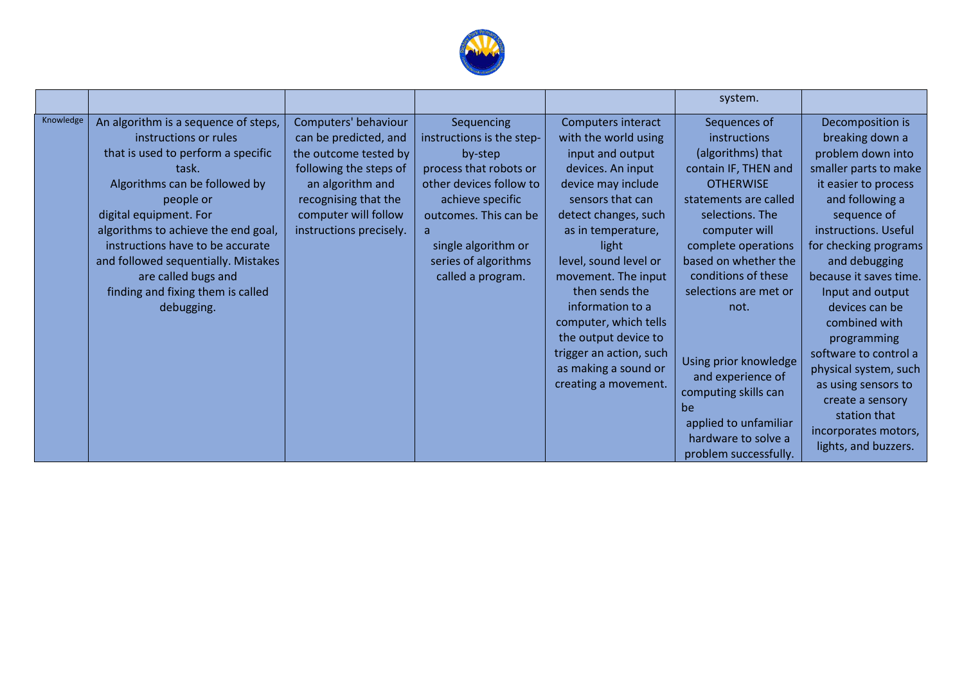

|           |                                                                                                                                                                                                                                                                                                                                                                                  |                                                                                                                                                                                                 |                                                                                                                                                                                                                               |                                                                                                                                                                                                                                                                                                                                                                                                        | system.                                                                                                                                                                                                                                                                                                                                                                                                                |                                                                                                                                                                                                                                                                                                                                                                                                                                                                            |
|-----------|----------------------------------------------------------------------------------------------------------------------------------------------------------------------------------------------------------------------------------------------------------------------------------------------------------------------------------------------------------------------------------|-------------------------------------------------------------------------------------------------------------------------------------------------------------------------------------------------|-------------------------------------------------------------------------------------------------------------------------------------------------------------------------------------------------------------------------------|--------------------------------------------------------------------------------------------------------------------------------------------------------------------------------------------------------------------------------------------------------------------------------------------------------------------------------------------------------------------------------------------------------|------------------------------------------------------------------------------------------------------------------------------------------------------------------------------------------------------------------------------------------------------------------------------------------------------------------------------------------------------------------------------------------------------------------------|----------------------------------------------------------------------------------------------------------------------------------------------------------------------------------------------------------------------------------------------------------------------------------------------------------------------------------------------------------------------------------------------------------------------------------------------------------------------------|
| Knowledge | An algorithm is a sequence of steps,<br>instructions or rules<br>that is used to perform a specific<br>task.<br>Algorithms can be followed by<br>people or<br>digital equipment. For<br>algorithms to achieve the end goal,<br>instructions have to be accurate<br>and followed sequentially. Mistakes<br>are called bugs and<br>finding and fixing them is called<br>debugging. | Computers' behaviour<br>can be predicted, and<br>the outcome tested by<br>following the steps of<br>an algorithm and<br>recognising that the<br>computer will follow<br>instructions precisely. | Sequencing<br>instructions is the step-<br>by-step<br>process that robots or<br>other devices follow to<br>achieve specific<br>outcomes. This can be<br>a<br>single algorithm or<br>series of algorithms<br>called a program. | Computers interact<br>with the world using<br>input and output<br>devices. An input<br>device may include<br>sensors that can<br>detect changes, such<br>as in temperature,<br>light<br>level, sound level or<br>movement. The input<br>then sends the<br>information to a<br>computer, which tells<br>the output device to<br>trigger an action, such<br>as making a sound or<br>creating a movement. | Sequences of<br>instructions<br>(algorithms) that<br>contain IF, THEN and<br><b>OTHERWISE</b><br>statements are called<br>selections. The<br>computer will<br>complete operations<br>based on whether the<br>conditions of these<br>selections are met or<br>not.<br>Using prior knowledge<br>and experience of<br>computing skills can<br>be<br>applied to unfamiliar<br>hardware to solve a<br>problem successfully. | Decomposition is<br>breaking down a<br>problem down into<br>smaller parts to make<br>it easier to process<br>and following a<br>sequence of<br>instructions. Useful<br>for checking programs<br>and debugging<br>because it saves time.<br>Input and output<br>devices can be<br>combined with<br>programming<br>software to control a<br>physical system, such<br>as using sensors to<br>create a sensory<br>station that<br>incorporates motors,<br>lights, and buzzers. |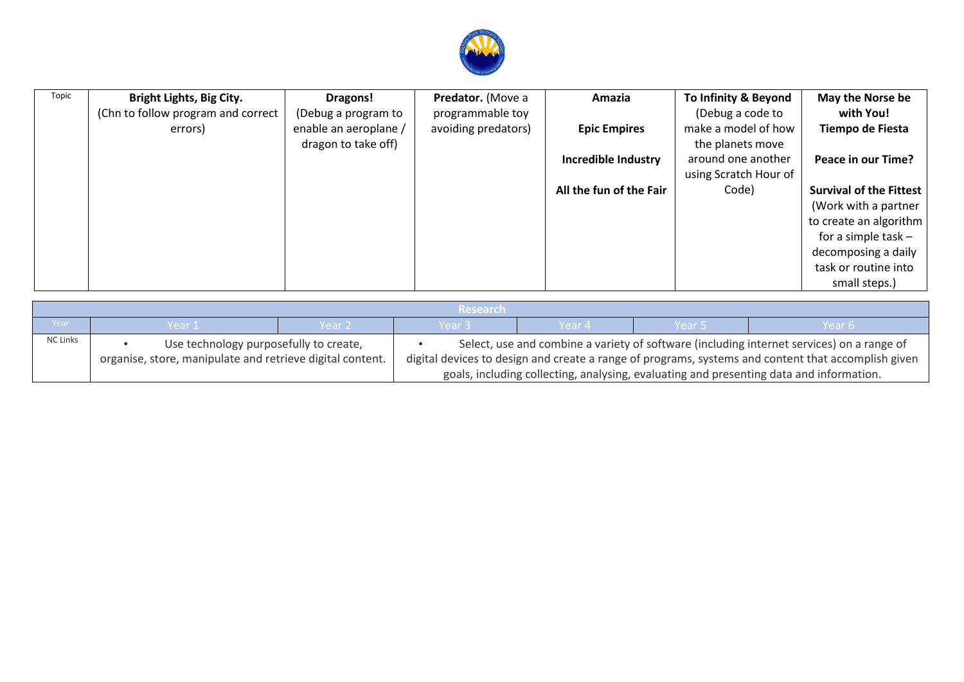

| Topic | <b>Bright Lights, Big City.</b><br>(Chn to follow program and correct<br>errors) | Dragons!<br>(Debug a program to<br>enable an aeroplane /<br>dragon to take off) | Predator. (Move a<br>programmable toy<br>avoiding predators) | Amazia<br><b>Epic Empires</b> | To Infinity & Beyond<br>(Debug a code to<br>make a model of how<br>the planets move | May the Norse be<br>with You!<br>Tiempo de Fiesta                                                                                                                         |
|-------|----------------------------------------------------------------------------------|---------------------------------------------------------------------------------|--------------------------------------------------------------|-------------------------------|-------------------------------------------------------------------------------------|---------------------------------------------------------------------------------------------------------------------------------------------------------------------------|
|       |                                                                                  |                                                                                 |                                                              | <b>Incredible Industry</b>    | around one another<br>using Scratch Hour of                                         | Peace in our Time?                                                                                                                                                        |
|       |                                                                                  |                                                                                 |                                                              | All the fun of the Fair       | Code)                                                                               | <b>Survival of the Fittest</b><br>(Work with a partner<br>to create an algorithm<br>for a simple task $-$<br>decomposing a daily<br>task or routine into<br>small steps.) |

|                 | <b>Research</b>                                                                         |                                                                                                     |                   |        |        |        |  |  |
|-----------------|-----------------------------------------------------------------------------------------|-----------------------------------------------------------------------------------------------------|-------------------|--------|--------|--------|--|--|
| Year            | Year 1                                                                                  | Year 2'                                                                                             | Year <sub>3</sub> | Year 4 | Year 5 | Year 6 |  |  |
| <b>NC Links</b> | Use technology purposefully to create,                                                  | Select, use and combine a variety of software (including internet services) on a range of           |                   |        |        |        |  |  |
|                 | organise, store, manipulate and retrieve digital content.                               | digital devices to design and create a range of programs, systems and content that accomplish given |                   |        |        |        |  |  |
|                 | goals, including collecting, analysing, evaluating and presenting data and information. |                                                                                                     |                   |        |        |        |  |  |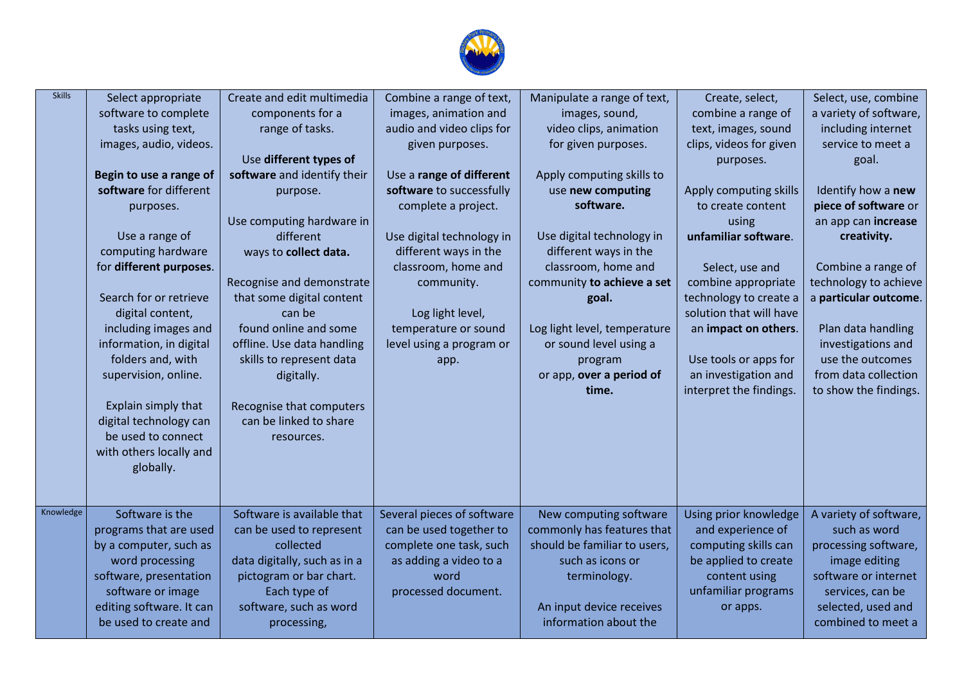

| <b>Skills</b> | Select appropriate<br>software to complete<br>tasks using text,<br>images, audio, videos.<br>Begin to use a range of<br>software for different<br>purposes.<br>Use a range of<br>computing hardware<br>for different purposes.<br>Search for or retrieve<br>digital content,<br>including images and<br>information, in digital<br>folders and, with<br>supervision, online.<br>Explain simply that<br>digital technology can<br>be used to connect<br>with others locally and | Create and edit multimedia<br>components for a<br>range of tasks.<br>Use different types of<br>software and identify their<br>purpose.<br>Use computing hardware in<br>different<br>ways to collect data.<br>Recognise and demonstrate<br>that some digital content<br>can be<br>found online and some<br>offline. Use data handling<br>skills to represent data<br>digitally.<br>Recognise that computers<br>can be linked to share<br>resources. | Combine a range of text,<br>images, animation and<br>audio and video clips for<br>given purposes.<br>Use a range of different<br>software to successfully<br>complete a project.<br>Use digital technology in<br>different ways in the<br>classroom, home and<br>community.<br>Log light level,<br>temperature or sound<br>level using a program or<br>app. | Manipulate a range of text,<br>images, sound,<br>video clips, animation<br>for given purposes.<br>Apply computing skills to<br>use new computing<br>software.<br>Use digital technology in<br>different ways in the<br>classroom, home and<br>community to achieve a set<br>goal.<br>Log light level, temperature<br>or sound level using a<br>program<br>or app, over a period of<br>time. | Create, select,<br>combine a range of<br>text, images, sound<br>clips, videos for given<br>purposes.<br>Apply computing skills<br>to create content<br>using<br>unfamiliar software.<br>Select, use and<br>combine appropriate<br>technology to create a<br>solution that will have<br>an impact on others.<br>Use tools or apps for<br>an investigation and<br>interpret the findings. | Select, use, combine<br>a variety of software,<br>including internet<br>service to meet a<br>goal.<br>Identify how a new<br>piece of software or<br>an app can increase<br>creativity.<br>Combine a range of<br>technology to achieve<br>a particular outcome.<br>Plan data handling<br>investigations and<br>use the outcomes<br>from data collection<br>to show the findings. |
|---------------|--------------------------------------------------------------------------------------------------------------------------------------------------------------------------------------------------------------------------------------------------------------------------------------------------------------------------------------------------------------------------------------------------------------------------------------------------------------------------------|----------------------------------------------------------------------------------------------------------------------------------------------------------------------------------------------------------------------------------------------------------------------------------------------------------------------------------------------------------------------------------------------------------------------------------------------------|-------------------------------------------------------------------------------------------------------------------------------------------------------------------------------------------------------------------------------------------------------------------------------------------------------------------------------------------------------------|---------------------------------------------------------------------------------------------------------------------------------------------------------------------------------------------------------------------------------------------------------------------------------------------------------------------------------------------------------------------------------------------|-----------------------------------------------------------------------------------------------------------------------------------------------------------------------------------------------------------------------------------------------------------------------------------------------------------------------------------------------------------------------------------------|---------------------------------------------------------------------------------------------------------------------------------------------------------------------------------------------------------------------------------------------------------------------------------------------------------------------------------------------------------------------------------|
| Knowledge     | globally.<br>Software is the<br>programs that are used<br>by a computer, such as<br>word processing<br>software, presentation<br>software or image<br>editing software. It can<br>be used to create and                                                                                                                                                                                                                                                                        | Software is available that<br>can be used to represent<br>collected<br>data digitally, such as in a<br>pictogram or bar chart.<br>Each type of<br>software, such as word<br>processing,                                                                                                                                                                                                                                                            | Several pieces of software<br>can be used together to<br>complete one task, such<br>as adding a video to a<br>word<br>processed document.                                                                                                                                                                                                                   | New computing software<br>commonly has features that<br>should be familiar to users,<br>such as icons or<br>terminology.<br>An input device receives<br>information about the                                                                                                                                                                                                               | Using prior knowledge<br>and experience of<br>computing skills can<br>be applied to create<br>content using<br>unfamiliar programs<br>or apps.                                                                                                                                                                                                                                          | A variety of software,<br>such as word<br>processing software,<br>image editing<br>software or internet<br>services, can be<br>selected, used and<br>combined to meet a                                                                                                                                                                                                         |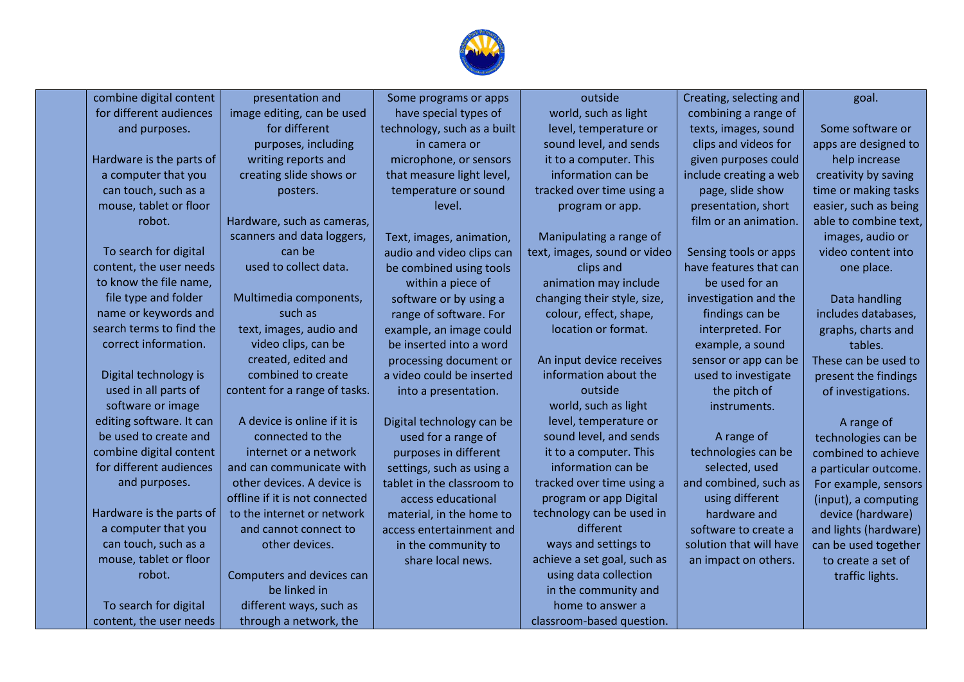

| combine digital content  | presentation and               | Some programs or apps       | outside                      | Creating, selecting and | goal.                 |
|--------------------------|--------------------------------|-----------------------------|------------------------------|-------------------------|-----------------------|
| for different audiences  | image editing, can be used     | have special types of       | world, such as light         | combining a range of    |                       |
| and purposes.            | for different                  | technology, such as a built | level, temperature or        | texts, images, sound    | Some software or      |
|                          | purposes, including            | in camera or                | sound level, and sends       | clips and videos for    | apps are designed to  |
| Hardware is the parts of | writing reports and            | microphone, or sensors      | it to a computer. This       | given purposes could    | help increase         |
| a computer that you      | creating slide shows or        | that measure light level,   | information can be           | include creating a web  | creativity by saving  |
| can touch, such as a     | posters.                       | temperature or sound        | tracked over time using a    | page, slide show        | time or making tasks  |
| mouse, tablet or floor   |                                | level.                      | program or app.              | presentation, short     | easier, such as being |
| robot.                   | Hardware, such as cameras,     |                             |                              | film or an animation.   | able to combine text, |
|                          | scanners and data loggers,     | Text, images, animation,    | Manipulating a range of      |                         | images, audio or      |
| To search for digital    | can be                         | audio and video clips can   | text, images, sound or video | Sensing tools or apps   | video content into    |
| content, the user needs  | used to collect data.          | be combined using tools     | clips and                    | have features that can  | one place.            |
| to know the file name,   |                                | within a piece of           | animation may include        | be used for an          |                       |
| file type and folder     | Multimedia components,         | software or by using a      | changing their style, size,  | investigation and the   | Data handling         |
| name or keywords and     | such as                        | range of software. For      | colour, effect, shape,       | findings can be         | includes databases,   |
| search terms to find the | text, images, audio and        | example, an image could     | location or format.          | interpreted. For        | graphs, charts and    |
| correct information.     | video clips, can be            | be inserted into a word     |                              | example, a sound        | tables.               |
|                          | created, edited and            | processing document or      | An input device receives     | sensor or app can be    | These can be used to  |
| Digital technology is    | combined to create             | a video could be inserted   | information about the        | used to investigate     | present the findings  |
| used in all parts of     | content for a range of tasks.  | into a presentation.        | outside                      | the pitch of            | of investigations.    |
| software or image        |                                |                             | world, such as light         | instruments.            |                       |
| editing software. It can | A device is online if it is    | Digital technology can be   | level, temperature or        |                         | A range of            |
| be used to create and    | connected to the               | used for a range of         | sound level, and sends       | A range of              | technologies can be   |
| combine digital content  | internet or a network          | purposes in different       | it to a computer. This       | technologies can be     | combined to achieve   |
| for different audiences  | and can communicate with       | settings, such as using a   | information can be           | selected, used          | a particular outcome. |
| and purposes.            | other devices. A device is     | tablet in the classroom to  | tracked over time using a    | and combined, such as   | For example, sensors  |
|                          | offline if it is not connected | access educational          | program or app Digital       | using different         | (input), a computing  |
| Hardware is the parts of | to the internet or network     | material, in the home to    | technology can be used in    | hardware and            | device (hardware)     |
| a computer that you      | and cannot connect to          | access entertainment and    | different                    | software to create a    | and lights (hardware) |
| can touch, such as a     | other devices.                 | in the community to         | ways and settings to         | solution that will have | can be used together  |
| mouse, tablet or floor   |                                | share local news.           | achieve a set goal, such as  | an impact on others.    | to create a set of    |
| robot.                   | Computers and devices can      |                             | using data collection        |                         | traffic lights.       |
|                          | be linked in                   |                             | in the community and         |                         |                       |
| To search for digital    | different ways, such as        |                             | home to answer a             |                         |                       |
| content, the user needs  | through a network, the         |                             | classroom-based question.    |                         |                       |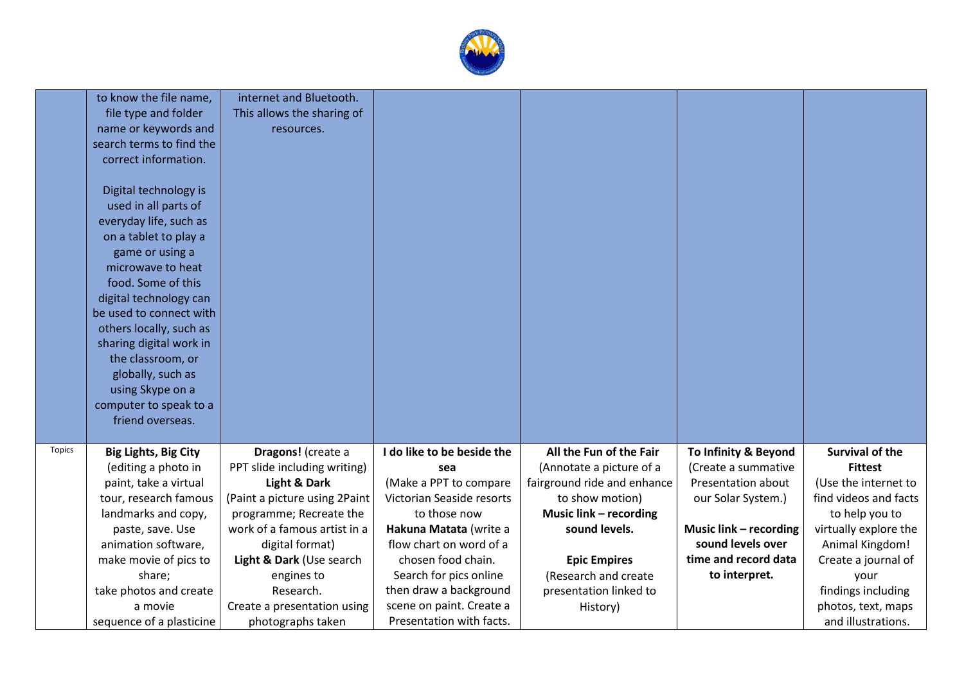

|               | to know the file name,                       | internet and Bluetooth.                            |                               |                             |                                             |                        |
|---------------|----------------------------------------------|----------------------------------------------------|-------------------------------|-----------------------------|---------------------------------------------|------------------------|
|               | file type and folder                         | This allows the sharing of                         |                               |                             |                                             |                        |
|               | name or keywords and                         | resources.                                         |                               |                             |                                             |                        |
|               | search terms to find the                     |                                                    |                               |                             |                                             |                        |
|               | correct information.                         |                                                    |                               |                             |                                             |                        |
|               |                                              |                                                    |                               |                             |                                             |                        |
|               | Digital technology is                        |                                                    |                               |                             |                                             |                        |
|               | used in all parts of                         |                                                    |                               |                             |                                             |                        |
|               | everyday life, such as                       |                                                    |                               |                             |                                             |                        |
|               | on a tablet to play a                        |                                                    |                               |                             |                                             |                        |
|               | game or using a                              |                                                    |                               |                             |                                             |                        |
|               | microwave to heat                            |                                                    |                               |                             |                                             |                        |
|               | food. Some of this                           |                                                    |                               |                             |                                             |                        |
|               | digital technology can                       |                                                    |                               |                             |                                             |                        |
|               | be used to connect with                      |                                                    |                               |                             |                                             |                        |
|               | others locally, such as                      |                                                    |                               |                             |                                             |                        |
|               | sharing digital work in                      |                                                    |                               |                             |                                             |                        |
|               | the classroom, or                            |                                                    |                               |                             |                                             |                        |
|               | globally, such as                            |                                                    |                               |                             |                                             |                        |
|               | using Skype on a                             |                                                    |                               |                             |                                             |                        |
|               | computer to speak to a                       |                                                    |                               |                             |                                             |                        |
|               | friend overseas.                             |                                                    |                               |                             |                                             |                        |
| <b>Topics</b> |                                              |                                                    | I do like to be beside the    | All the Fun of the Fair     |                                             | <b>Survival of the</b> |
|               | <b>Big Lights, Big City</b>                  | Dragons! (create a<br>PPT slide including writing) |                               | (Annotate a picture of a    | To Infinity & Beyond<br>(Create a summative | <b>Fittest</b>         |
|               | (editing a photo in<br>paint, take a virtual | Light & Dark                                       | sea<br>(Make a PPT to compare | fairground ride and enhance | Presentation about                          | (Use the internet to   |
|               | tour, research famous                        | (Paint a picture using 2Paint                      | Victorian Seaside resorts     | to show motion)             | our Solar System.)                          | find videos and facts  |
|               | landmarks and copy,                          | programme; Recreate the                            | to those now                  | Music link - recording      |                                             | to help you to         |
|               | paste, save. Use                             | work of a famous artist in a                       | Hakuna Matata (write a        | sound levels.               | Music link - recording                      | virtually explore the  |
|               | animation software,                          | digital format)                                    | flow chart on word of a       |                             | sound levels over                           | Animal Kingdom!        |
|               | make movie of pics to                        | Light & Dark (Use search                           | chosen food chain.            | <b>Epic Empires</b>         | time and record data                        | Create a journal of    |
|               | share;                                       | engines to                                         | Search for pics online        | (Research and create        | to interpret.                               | your                   |
|               | take photos and create                       | Research.                                          | then draw a background        | presentation linked to      |                                             | findings including     |
|               | a movie                                      | Create a presentation using                        | scene on paint. Create a      | History)                    |                                             | photos, text, maps     |
|               | sequence of a plasticine                     | photographs taken                                  | Presentation with facts.      |                             |                                             | and illustrations.     |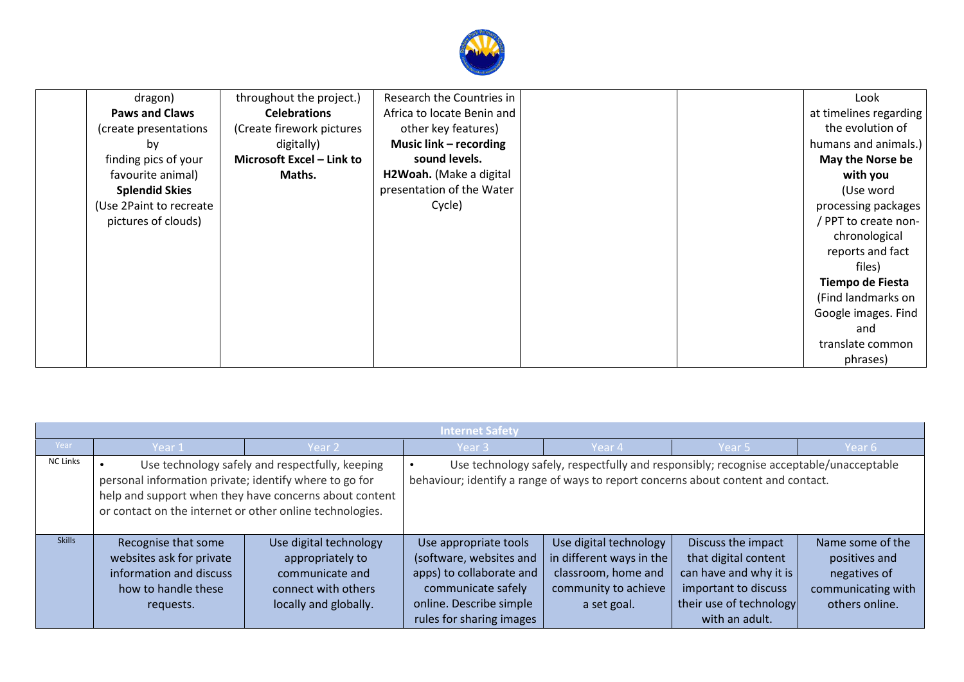

| dragon)                 | throughout the project.)  | Research the Countries in  |  | Look                   |
|-------------------------|---------------------------|----------------------------|--|------------------------|
| <b>Paws and Claws</b>   | <b>Celebrations</b>       | Africa to locate Benin and |  | at timelines regarding |
| (create presentations)  | (Create firework pictures | other key features)        |  | the evolution of       |
| by                      | digitally)                | Music link - recording     |  | humans and animals.)   |
| finding pics of your    | Microsoft Excel - Link to | sound levels.              |  | May the Norse be       |
| favourite animal)       | Maths.                    | H2Woah. (Make a digital    |  | with you               |
| <b>Splendid Skies</b>   |                           | presentation of the Water  |  | (Use word              |
| (Use 2Paint to recreate |                           | Cycle)                     |  | processing packages    |
| pictures of clouds)     |                           |                            |  | / PPT to create non-   |
|                         |                           |                            |  | chronological          |
|                         |                           |                            |  | reports and fact       |
|                         |                           |                            |  | files)                 |
|                         |                           |                            |  | Tiempo de Fiesta       |
|                         |                           |                            |  | (Find landmarks on     |
|                         |                           |                            |  | Google images. Find    |
|                         |                           |                            |  | and                    |
|                         |                           |                            |  | translate common       |
|                         |                           |                            |  | phrases)               |

|                 | <b>Internet Safety</b>                                                                                             |                                                                                                               |                                                                                                                                                           |                                                                                                                  |                                                                                                                                           |                                                                                           |
|-----------------|--------------------------------------------------------------------------------------------------------------------|---------------------------------------------------------------------------------------------------------------|-----------------------------------------------------------------------------------------------------------------------------------------------------------|------------------------------------------------------------------------------------------------------------------|-------------------------------------------------------------------------------------------------------------------------------------------|-------------------------------------------------------------------------------------------|
| Year            | Year 1                                                                                                             | Year 2                                                                                                        | Year 3                                                                                                                                                    | Year 4                                                                                                           | Year 5                                                                                                                                    | Year 6                                                                                    |
| <b>NC Links</b> | personal information private; identify where to go for<br>or contact on the internet or other online technologies. | Use technology safely and respectfully, keeping<br>help and support when they have concerns about content     | behaviour; identify a range of ways to report concerns about content and contact.                                                                         | Use technology safely, respectfully and responsibly; recognise acceptable/unacceptable                           |                                                                                                                                           |                                                                                           |
| <b>Skills</b>   | Recognise that some<br>websites ask for private<br>information and discuss<br>how to handle these<br>requests.     | Use digital technology<br>appropriately to<br>communicate and<br>connect with others<br>locally and globally. | Use appropriate tools<br>(software, websites and<br>apps) to collaborate and<br>communicate safely<br>online. Describe simple<br>rules for sharing images | Use digital technology<br>in different ways in the<br>classroom, home and<br>community to achieve<br>a set goal. | Discuss the impact<br>that digital content<br>can have and why it is<br>important to discuss<br>their use of technology<br>with an adult. | Name some of the<br>positives and<br>negatives of<br>communicating with<br>others online. |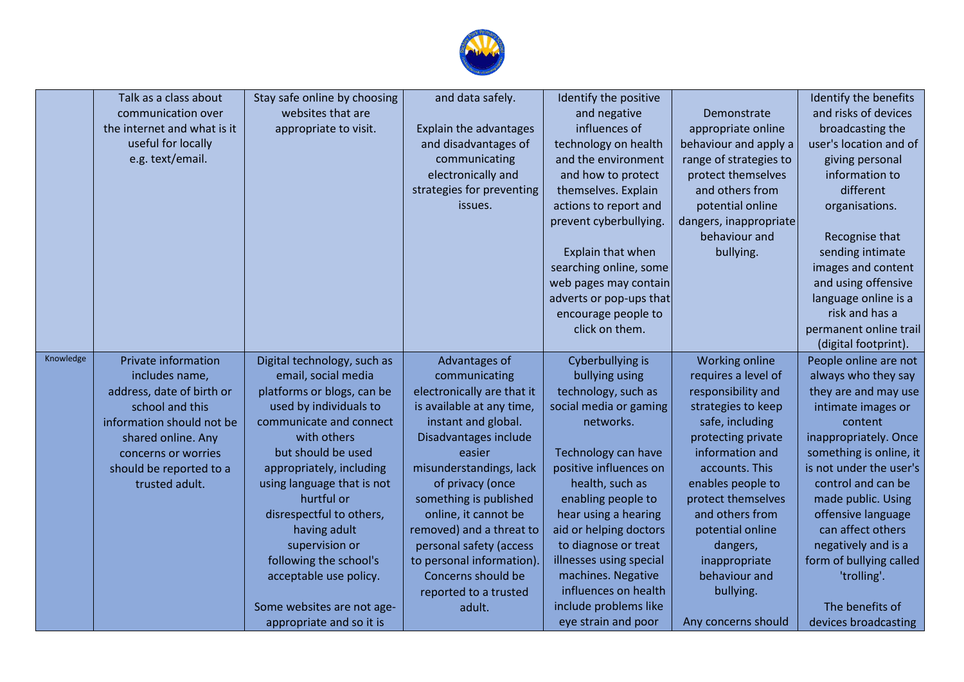

|           | Talk as a class about       | Stay safe online by choosing | and data safely.           | Identify the positive   |                        | Identify the benefits   |
|-----------|-----------------------------|------------------------------|----------------------------|-------------------------|------------------------|-------------------------|
|           | communication over          | websites that are            |                            | and negative            | Demonstrate            | and risks of devices    |
|           | the internet and what is it | appropriate to visit.        | Explain the advantages     | influences of           | appropriate online     | broadcasting the        |
|           | useful for locally          |                              | and disadvantages of       | technology on health    | behaviour and apply a  | user's location and of  |
|           | e.g. text/email.            |                              | communicating              | and the environment     | range of strategies to | giving personal         |
|           |                             |                              | electronically and         | and how to protect      | protect themselves     | information to          |
|           |                             |                              | strategies for preventing  | themselves. Explain     | and others from        | different               |
|           |                             |                              | issues.                    | actions to report and   | potential online       | organisations.          |
|           |                             |                              |                            | prevent cyberbullying.  | dangers, inappropriate |                         |
|           |                             |                              |                            |                         | behaviour and          | Recognise that          |
|           |                             |                              |                            | Explain that when       | bullying.              | sending intimate        |
|           |                             |                              |                            | searching online, some  |                        | images and content      |
|           |                             |                              |                            | web pages may contain   |                        | and using offensive     |
|           |                             |                              |                            | adverts or pop-ups that |                        | language online is a    |
|           |                             |                              |                            | encourage people to     |                        | risk and has a          |
|           |                             |                              |                            | click on them.          |                        | permanent online trail  |
|           |                             |                              |                            |                         |                        | (digital footprint).    |
| Knowledge | Private information         | Digital technology, such as  | Advantages of              | Cyberbullying is        | Working online         | People online are not   |
|           | includes name,              | email, social media          | communicating              | bullying using          | requires a level of    | always who they say     |
|           | address, date of birth or   | platforms or blogs, can be   | electronically are that it | technology, such as     | responsibility and     | they are and may use    |
|           | school and this             | used by individuals to       | is available at any time,  | social media or gaming  | strategies to keep     | intimate images or      |
|           | information should not be   | communicate and connect      | instant and global.        | networks.               | safe, including        | content                 |
|           | shared online. Any          | with others                  | Disadvantages include      |                         | protecting private     | inappropriately. Once   |
|           | concerns or worries         | but should be used           | easier                     | Technology can have     | information and        | something is online, it |
|           | should be reported to a     | appropriately, including     | misunderstandings, lack    | positive influences on  | accounts. This         | is not under the user's |
|           | trusted adult.              | using language that is not   | of privacy (once           | health, such as         | enables people to      | control and can be      |
|           |                             | hurtful or                   | something is published     | enabling people to      | protect themselves     | made public. Using      |
|           |                             | disrespectful to others,     | online, it cannot be       | hear using a hearing    | and others from        | offensive language      |
|           |                             | having adult                 | removed) and a threat to   | aid or helping doctors  | potential online       | can affect others       |
|           |                             | supervision or               | personal safety (access    | to diagnose or treat    | dangers,               | negatively and is a     |
|           |                             | following the school's       | to personal information).  | illnesses using special | inappropriate          | form of bullying called |
|           |                             | acceptable use policy.       | Concerns should be         | machines. Negative      | behaviour and          | 'trolling'.             |
|           |                             |                              | reported to a trusted      | influences on health    | bullying.              |                         |
|           |                             | Some websites are not age-   | adult.                     | include problems like   |                        | The benefits of         |
|           |                             | appropriate and so it is     |                            | eye strain and poor     | Any concerns should    | devices broadcasting    |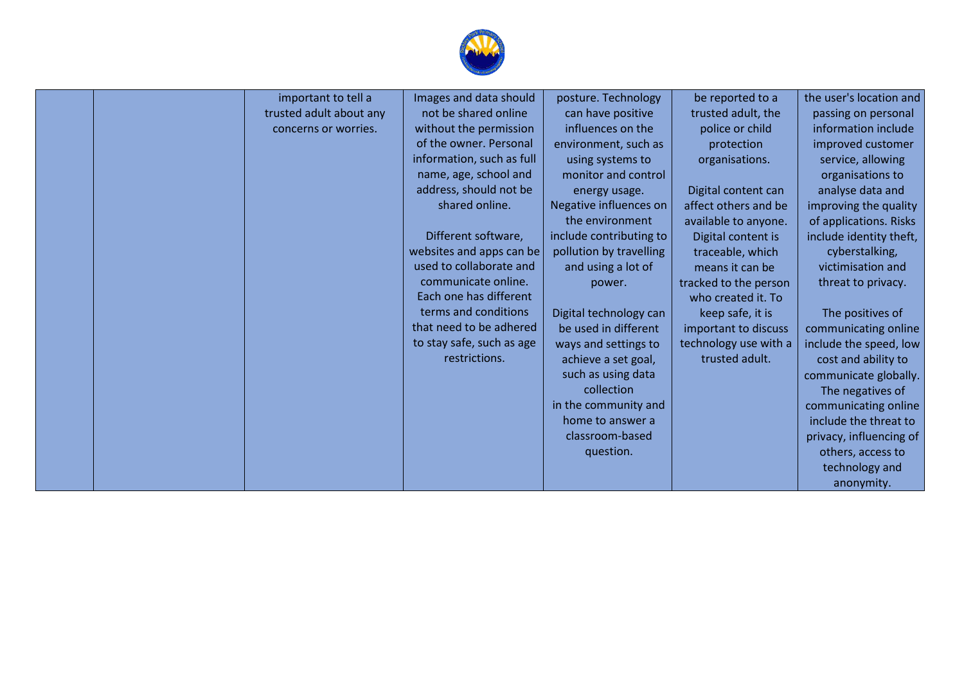

|  | important to tell a     | Images and data should    | posture. Technology     | be reported to a      | the user's location and |
|--|-------------------------|---------------------------|-------------------------|-----------------------|-------------------------|
|  | trusted adult about any | not be shared online      | can have positive       | trusted adult, the    | passing on personal     |
|  | concerns or worries.    | without the permission    | influences on the       | police or child       | information include     |
|  |                         | of the owner. Personal    | environment, such as    | protection            | improved customer       |
|  |                         | information, such as full | using systems to        | organisations.        | service, allowing       |
|  |                         | name, age, school and     | monitor and control     |                       | organisations to        |
|  |                         | address, should not be    | energy usage.           | Digital content can   | analyse data and        |
|  |                         | shared online.            | Negative influences on  | affect others and be  | improving the quality   |
|  |                         |                           | the environment         | available to anyone.  | of applications. Risks  |
|  |                         | Different software,       | include contributing to | Digital content is    | include identity theft, |
|  |                         | websites and apps can be  | pollution by travelling | traceable, which      | cyberstalking,          |
|  |                         | used to collaborate and   | and using a lot of      | means it can be       | victimisation and       |
|  |                         | communicate online.       | power.                  | tracked to the person | threat to privacy.      |
|  |                         | Each one has different    |                         | who created it. To    |                         |
|  |                         | terms and conditions      | Digital technology can  | keep safe, it is      | The positives of        |
|  |                         | that need to be adhered   | be used in different    | important to discuss  | communicating online    |
|  |                         | to stay safe, such as age | ways and settings to    | technology use with a | include the speed, low  |
|  |                         | restrictions.             | achieve a set goal,     | trusted adult.        | cost and ability to     |
|  |                         |                           | such as using data      |                       | communicate globally.   |
|  |                         |                           | collection              |                       | The negatives of        |
|  |                         |                           | in the community and    |                       | communicating online    |
|  |                         |                           | home to answer a        |                       | include the threat to   |
|  |                         |                           | classroom-based         |                       | privacy, influencing of |
|  |                         |                           | question.               |                       | others, access to       |
|  |                         |                           |                         |                       | technology and          |
|  |                         |                           |                         |                       | anonymity.              |
|  |                         |                           |                         |                       |                         |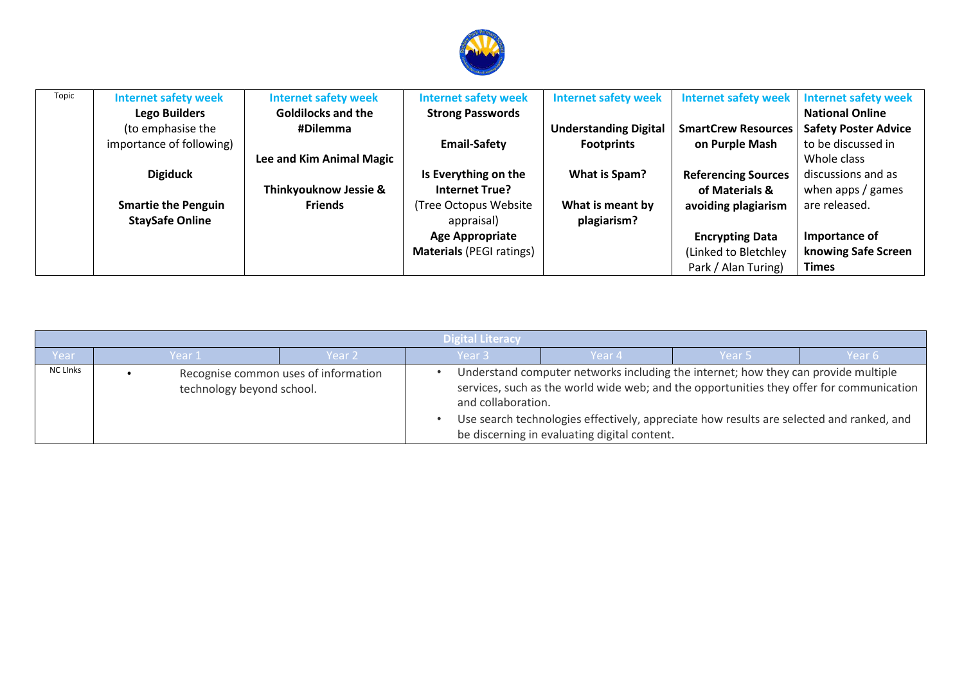

| Topic | <b>Internet safety week</b> | <b>Internet safety week</b>      | <b>Internet safety week</b>     | <b>Internet safety week</b>  | <b>Internet safety week</b> | <b>Internet safety week</b> |
|-------|-----------------------------|----------------------------------|---------------------------------|------------------------------|-----------------------------|-----------------------------|
|       | <b>Lego Builders</b>        | <b>Goldilocks and the</b>        | <b>Strong Passwords</b>         |                              |                             | <b>National Online</b>      |
|       | (to emphasise the           | #Dilemma                         |                                 | <b>Understanding Digital</b> | <b>SmartCrew Resources</b>  | <b>Safety Poster Advice</b> |
|       | importance of following)    |                                  | <b>Email-Safety</b>             | <b>Footprints</b>            | on Purple Mash              | to be discussed in          |
|       |                             | Lee and Kim Animal Magic         |                                 |                              |                             | Whole class                 |
|       | <b>Digiduck</b>             |                                  | Is Everything on the            | What is Spam?                | <b>Referencing Sources</b>  | discussions and as          |
|       |                             | <b>Thinkyouknow Jessie &amp;</b> | <b>Internet True?</b>           |                              | of Materials &              | when apps / games           |
|       | <b>Smartie the Penguin</b>  | <b>Friends</b>                   | (Tree Octopus Website           | What is meant by             | avoiding plagiarism         | are released.               |
|       | <b>StaySafe Online</b>      |                                  | appraisal)                      | plagiarism?                  |                             |                             |
|       |                             |                                  | <b>Age Appropriate</b>          |                              | <b>Encrypting Data</b>      | Importance of               |
|       |                             |                                  | <b>Materials (PEGI ratings)</b> |                              | (Linked to Bletchley        | knowing Safe Screen         |
|       |                             |                                  |                                 |                              | Park / Alan Turing)         | <b>Times</b>                |

|                 | Digital Literacy |                           |                                      |                    |                                                                                                                                                                                                                                                                                                                            |        |        |  |  |
|-----------------|------------------|---------------------------|--------------------------------------|--------------------|----------------------------------------------------------------------------------------------------------------------------------------------------------------------------------------------------------------------------------------------------------------------------------------------------------------------------|--------|--------|--|--|
| Year            |                  | Year 1                    | Year 2                               | Year <sub>3</sub>  | Year 4                                                                                                                                                                                                                                                                                                                     | Year 5 | Year 6 |  |  |
| <b>NC LInks</b> |                  | technology beyond school. | Recognise common uses of information | and collaboration. | Understand computer networks including the internet; how they can provide multiple<br>services, such as the world wide web; and the opportunities they offer for communication<br>Use search technologies effectively, appreciate how results are selected and ranked, and<br>be discerning in evaluating digital content. |        |        |  |  |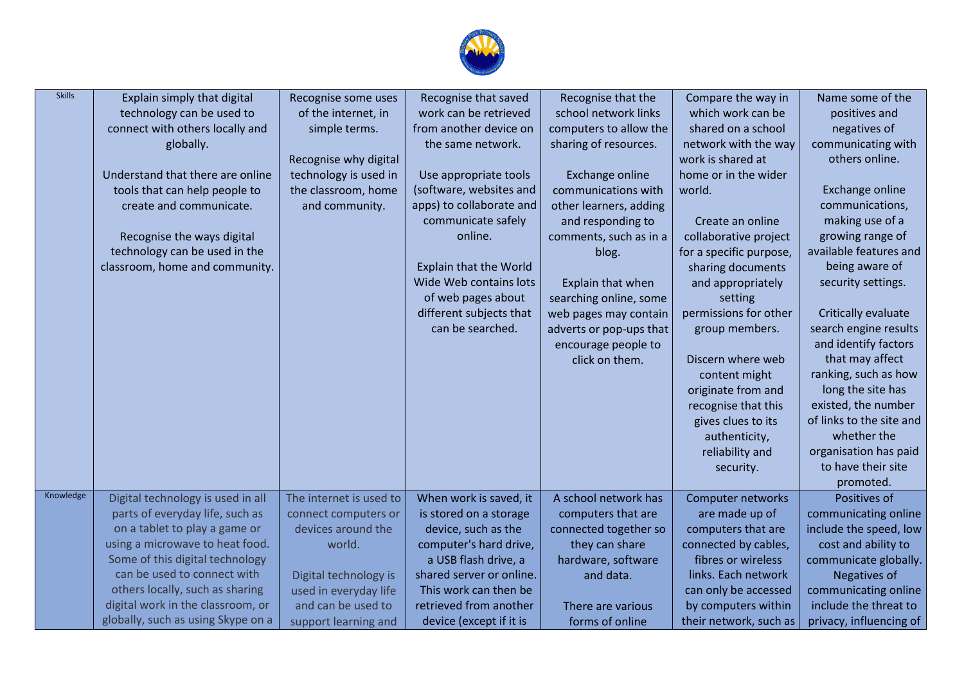

| <b>Skills</b> | Explain simply that digital        | Recognise some uses     | Recognise that saved          | Recognise that the      | Compare the way in      | Name some of the         |
|---------------|------------------------------------|-------------------------|-------------------------------|-------------------------|-------------------------|--------------------------|
|               | technology can be used to          | of the internet, in     | work can be retrieved         | school network links    | which work can be       | positives and            |
|               | connect with others locally and    | simple terms.           | from another device on        | computers to allow the  | shared on a school      | negatives of             |
|               | globally.                          |                         | the same network.             | sharing of resources.   | network with the way    | communicating with       |
|               |                                    | Recognise why digital   |                               |                         | work is shared at       | others online.           |
|               | Understand that there are online   | technology is used in   | Use appropriate tools         | Exchange online         | home or in the wider    |                          |
|               | tools that can help people to      | the classroom, home     | (software, websites and       | communications with     | world.                  | Exchange online          |
|               | create and communicate.            | and community.          | apps) to collaborate and      | other learners, adding  |                         | communications,          |
|               |                                    |                         | communicate safely            | and responding to       | Create an online        | making use of a          |
|               | Recognise the ways digital         |                         | online.                       | comments, such as in a  | collaborative project   | growing range of         |
|               | technology can be used in the      |                         |                               | blog.                   | for a specific purpose, | available features and   |
|               | classroom, home and community.     |                         | <b>Explain that the World</b> |                         | sharing documents       | being aware of           |
|               |                                    |                         | Wide Web contains lots        | Explain that when       | and appropriately       | security settings.       |
|               |                                    |                         | of web pages about            | searching online, some  | setting                 |                          |
|               |                                    |                         | different subjects that       | web pages may contain   | permissions for other   | Critically evaluate      |
|               |                                    |                         | can be searched.              | adverts or pop-ups that | group members.          | search engine results    |
|               |                                    |                         |                               | encourage people to     |                         | and identify factors     |
|               |                                    |                         |                               | click on them.          | Discern where web       | that may affect          |
|               |                                    |                         |                               |                         | content might           | ranking, such as how     |
|               |                                    |                         |                               |                         | originate from and      | long the site has        |
|               |                                    |                         |                               |                         | recognise that this     | existed, the number      |
|               |                                    |                         |                               |                         | gives clues to its      | of links to the site and |
|               |                                    |                         |                               |                         | authenticity,           | whether the              |
|               |                                    |                         |                               |                         | reliability and         | organisation has paid    |
|               |                                    |                         |                               |                         | security.               | to have their site       |
|               |                                    |                         |                               |                         |                         | promoted.                |
| Knowledge     | Digital technology is used in all  | The internet is used to | When work is saved, it        | A school network has    | Computer networks       | Positives of             |
|               | parts of everyday life, such as    | connect computers or    | is stored on a storage        | computers that are      | are made up of          | communicating online     |
|               | on a tablet to play a game or      | devices around the      | device, such as the           | connected together so   | computers that are      | include the speed, low   |
|               | using a microwave to heat food.    | world.                  | computer's hard drive,        | they can share          | connected by cables,    | cost and ability to      |
|               | Some of this digital technology    |                         | a USB flash drive, a          | hardware, software      | fibres or wireless      | communicate globally.    |
|               | can be used to connect with        | Digital technology is   | shared server or online.      | and data.               | links. Each network     | Negatives of             |
|               | others locally, such as sharing    | used in everyday life   | This work can then be         |                         | can only be accessed    | communicating online     |
|               | digital work in the classroom, or  | and can be used to      | retrieved from another        | There are various       | by computers within     | include the threat to    |
|               | globally, such as using Skype on a | support learning and    | device (except if it is       | forms of online         | their network, such as  | privacy, influencing of  |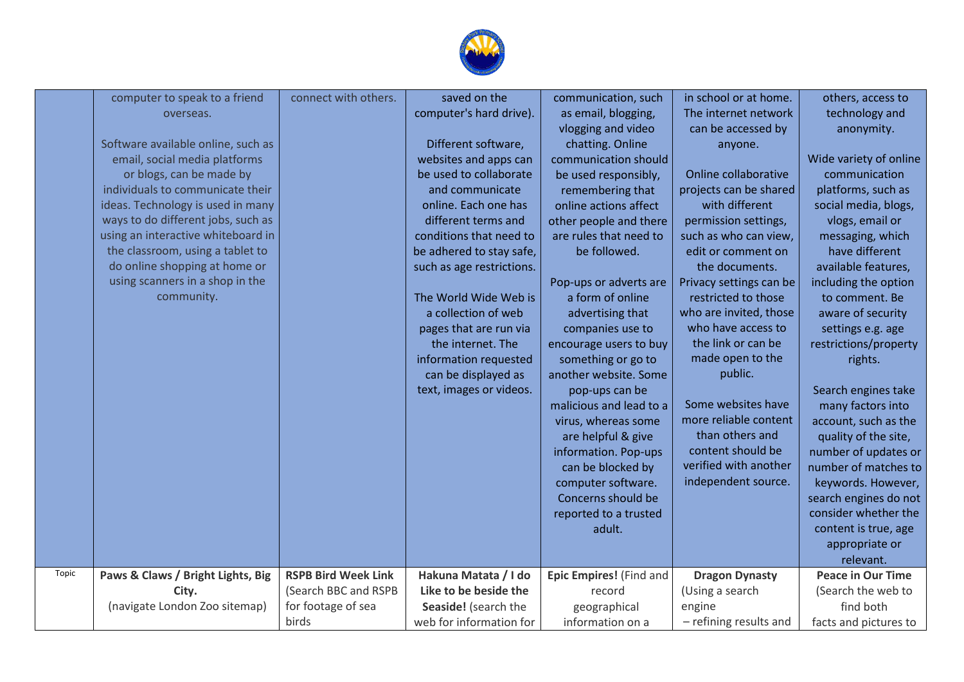

|       | computer to speak to a friend      | connect with others.       | saved on the              | communication, such     | in school or at home.   | others, access to        |
|-------|------------------------------------|----------------------------|---------------------------|-------------------------|-------------------------|--------------------------|
|       | overseas.                          |                            | computer's hard drive).   | as email, blogging,     | The internet network    | technology and           |
|       |                                    |                            |                           | vlogging and video      | can be accessed by      | anonymity.               |
|       | Software available online, such as |                            | Different software,       | chatting. Online        | anyone.                 |                          |
|       | email, social media platforms      |                            | websites and apps can     | communication should    |                         | Wide variety of online   |
|       | or blogs, can be made by           |                            | be used to collaborate    | be used responsibly,    | Online collaborative    | communication            |
|       | individuals to communicate their   |                            | and communicate           | remembering that        | projects can be shared  | platforms, such as       |
|       | ideas. Technology is used in many  |                            | online. Each one has      | online actions affect   | with different          | social media, blogs,     |
|       | ways to do different jobs, such as |                            | different terms and       | other people and there  | permission settings,    | vlogs, email or          |
|       | using an interactive whiteboard in |                            | conditions that need to   | are rules that need to  | such as who can view,   | messaging, which         |
|       | the classroom, using a tablet to   |                            | be adhered to stay safe,  | be followed.            | edit or comment on      | have different           |
|       | do online shopping at home or      |                            | such as age restrictions. |                         | the documents.          | available features,      |
|       | using scanners in a shop in the    |                            |                           | Pop-ups or adverts are  | Privacy settings can be | including the option     |
|       | community.                         |                            | The World Wide Web is     | a form of online        | restricted to those     | to comment. Be           |
|       |                                    |                            | a collection of web       | advertising that        | who are invited, those  | aware of security        |
|       |                                    |                            | pages that are run via    | companies use to        | who have access to      | settings e.g. age        |
|       |                                    |                            | the internet. The         | encourage users to buy  | the link or can be      | restrictions/property    |
|       |                                    |                            | information requested     | something or go to      | made open to the        | rights.                  |
|       |                                    |                            | can be displayed as       | another website. Some   | public.                 |                          |
|       |                                    |                            | text, images or videos.   | pop-ups can be          |                         | Search engines take      |
|       |                                    |                            |                           | malicious and lead to a | Some websites have      | many factors into        |
|       |                                    |                            |                           | virus, whereas some     | more reliable content   | account, such as the     |
|       |                                    |                            |                           | are helpful & give      | than others and         | quality of the site,     |
|       |                                    |                            |                           | information. Pop-ups    | content should be       | number of updates or     |
|       |                                    |                            |                           | can be blocked by       | verified with another   | number of matches to     |
|       |                                    |                            |                           | computer software.      | independent source.     | keywords. However,       |
|       |                                    |                            |                           | Concerns should be      |                         | search engines do not    |
|       |                                    |                            |                           | reported to a trusted   |                         | consider whether the     |
|       |                                    |                            |                           | adult.                  |                         | content is true, age     |
|       |                                    |                            |                           |                         |                         | appropriate or           |
|       |                                    |                            |                           |                         |                         | relevant.                |
| Topic | Paws & Claws / Bright Lights, Big  | <b>RSPB Bird Week Link</b> | Hakuna Matata / I do      | Epic Empires! (Find and | <b>Dragon Dynasty</b>   | <b>Peace in Our Time</b> |
|       | City.                              | (Search BBC and RSPB       | Like to be beside the     | record                  | (Using a search         | (Search the web to       |
|       | (navigate London Zoo sitemap)      | for footage of sea         | Seaside! (search the      | geographical            | engine                  | find both                |
|       |                                    | birds                      | web for information for   | information on a        | - refining results and  | facts and pictures to    |